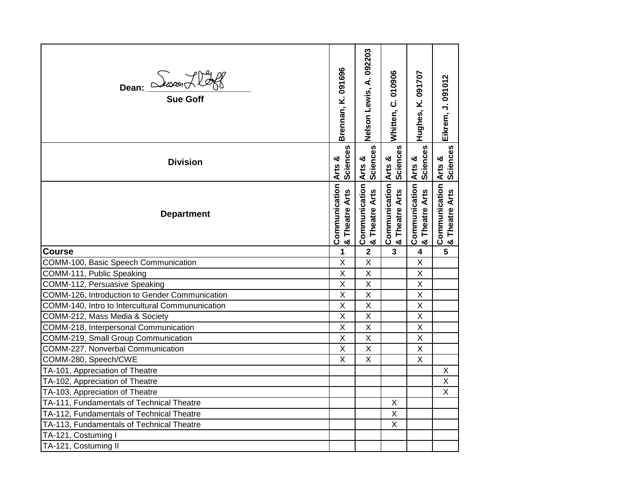| Dean: <i>Duxon</i> Hoff                                          | Brennan, K. 091696                         | Nelson Lewis, A. 092203                                       | Whitten, C. 010906              | Hughes, K. 091707                                             | Eikrem, J. 091012                          |
|------------------------------------------------------------------|--------------------------------------------|---------------------------------------------------------------|---------------------------------|---------------------------------------------------------------|--------------------------------------------|
| <b>Division</b>                                                  | Sciences<br>Arts &                         | Sciences                                                      | Arts &<br>Sciences              | Sciences                                                      | Arts &                                     |
| <b>Department</b>                                                | Communication<br><b>Theatre Arts</b><br>್ಯ | <b>Communication Arts &amp;<br/>&amp; Theatre Arts</b> Scienc | Communication<br>& Theatre Arts | <b>Communication Arts &amp;<br/>&amp; Theatre Arts</b> Scienc | Communication<br><b>Theatre Arts</b><br>න් |
| <b>Course</b>                                                    | 1                                          | $\mathbf{2}$                                                  | $\mathbf{3}$                    | 4                                                             | 5                                          |
| COMM-100, Basic Speech Communication                             | $\sf X$                                    | $\sf X$                                                       |                                 | X                                                             |                                            |
| COMM-111, Public Speaking                                        | $\sf X$                                    | X                                                             |                                 | X                                                             |                                            |
|                                                                  |                                            |                                                               |                                 |                                                               |                                            |
| COMM-112, Persuasive Speaking                                    | $\sf X$                                    | $\sf X$                                                       |                                 | X                                                             |                                            |
| COMM-126, Introduction to Gender Communication                   | $\sf X$                                    | $\sf X$                                                       |                                 | X                                                             |                                            |
| COMM-140, Intro to Intercultural Commununication                 | $\overline{X}$                             | $\sf X$                                                       |                                 | X                                                             |                                            |
| COMM-212, Mass Media & Society                                   | $\overline{X}$                             | $\sf X$                                                       |                                 | X                                                             |                                            |
| COMM-218, Interpersonal Communication                            | $\overline{\mathsf{x}}$                    | $\overline{\mathsf{x}}$                                       |                                 | $\overline{\mathsf{x}}$                                       |                                            |
| COMM-219, Small Group Communication                              | X                                          | $\overline{\mathsf{x}}$                                       |                                 | X                                                             |                                            |
| COMM-227, Nonverbal Communication                                | $\overline{\mathsf{x}}$                    | $\overline{X}$                                                |                                 | $\overline{\mathsf{x}}$                                       |                                            |
| COMM-280, Speech/CWE                                             | $\sf X$                                    | X                                                             |                                 | X                                                             |                                            |
| TA-101, Appreciation of Theatre                                  |                                            |                                                               |                                 |                                                               | X                                          |
| TA-102, Appreciation of Theatre                                  |                                            |                                                               |                                 |                                                               | $\sf X$                                    |
| TA-103, Appreciation of Theatre                                  |                                            |                                                               |                                 |                                                               | $\overline{X}$                             |
| TA-111, Fundamentals of Technical Theatre                        |                                            |                                                               | X                               |                                                               |                                            |
| TA-112, Fundamentals of Technical Theatre                        |                                            |                                                               | $\overline{X}$                  |                                                               |                                            |
| TA-113, Fundamentals of Technical Theatre<br>TA-121, Costuming I |                                            |                                                               | $\sf X$                         |                                                               |                                            |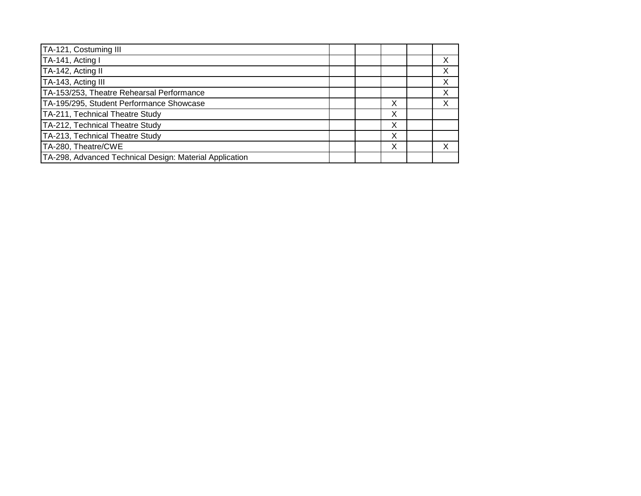| TA-121, Costuming III                                   |  |   |  |
|---------------------------------------------------------|--|---|--|
| TA-141, Acting I                                        |  |   |  |
| TA-142, Acting II                                       |  |   |  |
| TA-143, Acting III                                      |  |   |  |
| TA-153/253, Theatre Rehearsal Performance               |  |   |  |
| TA-195/295, Student Performance Showcase                |  | х |  |
| TA-211, Technical Theatre Study                         |  | Х |  |
| TA-212, Technical Theatre Study                         |  | Χ |  |
| TA-213, Technical Theatre Study                         |  | Х |  |
| TA-280, Theatre/CWE                                     |  | Х |  |
| TA-298, Advanced Technical Design: Material Application |  |   |  |